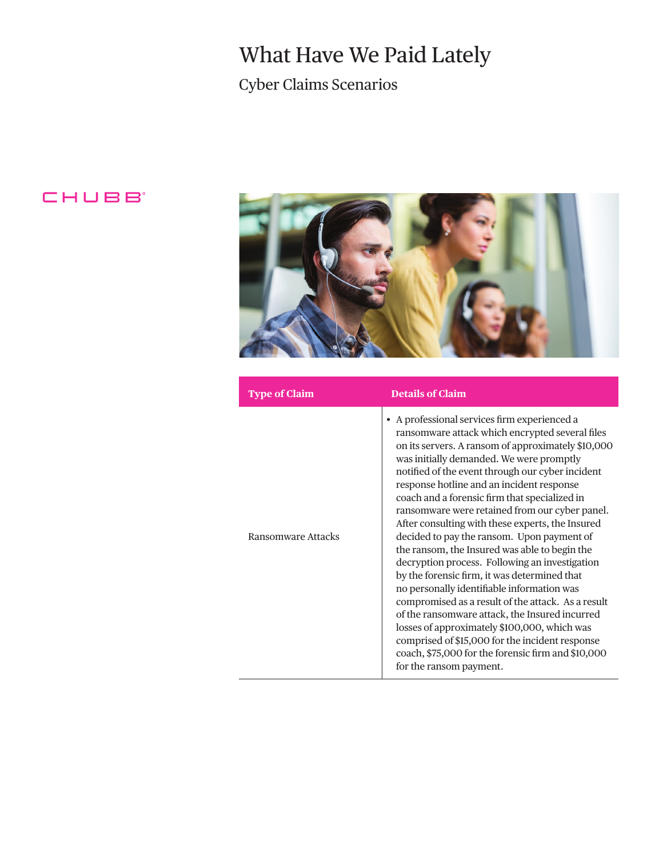## What Have We Paid Lately

Cyber Claims Scenarios

## CHUBB<sup>®</sup>



| <b>Type of Claim</b> | <b>Details of Claim</b>                                                                                                                                                                                                                                                                                                                                                                                                                                                                                                                                                                                                                                                                                                                                                                                                                                                                                                                                                                              |
|----------------------|------------------------------------------------------------------------------------------------------------------------------------------------------------------------------------------------------------------------------------------------------------------------------------------------------------------------------------------------------------------------------------------------------------------------------------------------------------------------------------------------------------------------------------------------------------------------------------------------------------------------------------------------------------------------------------------------------------------------------------------------------------------------------------------------------------------------------------------------------------------------------------------------------------------------------------------------------------------------------------------------------|
| Ransomware Attacks   | • A professional services firm experienced a<br>ransomware attack which encrypted several files<br>on its servers. A ransom of approximately \$10,000<br>was initially demanded. We were promptly<br>notified of the event through our cyber incident<br>response hotline and an incident response<br>coach and a forensic firm that specialized in<br>ransomware were retained from our cyber panel.<br>After consulting with these experts, the Insured<br>decided to pay the ransom. Upon payment of<br>the ransom, the Insured was able to begin the<br>decryption process. Following an investigation<br>by the forensic firm, it was determined that<br>no personally identifiable information was<br>compromised as a result of the attack. As a result<br>of the ransomware attack, the Insured incurred<br>losses of approximately \$100,000, which was<br>comprised of \$15,000 for the incident response<br>coach, \$75,000 for the forensic firm and \$10,000<br>for the ransom payment. |